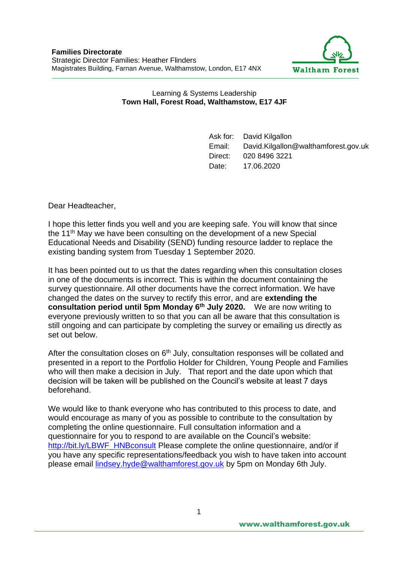

## Learning & Systems Leadership **Town Hall, Forest Road, Walthamstow, E17 4JF**

Ask for: David Kilgallon Email: David.Kilgallon@walthamforest.gov.uk Direct: 020 8496 3221 Date: 17.06.2020

Dear Headteacher,

I hope this letter finds you well and you are keeping safe. You will know that since the 11<sup>th</sup> May we have been consulting on the development of a new Special Educational Needs and Disability (SEND) funding resource ladder to replace the existing banding system from Tuesday 1 September 2020.

It has been pointed out to us that the dates regarding when this consultation closes in one of the documents is incorrect. This is within the document containing the survey questionnaire. All other documents have the correct information. We have changed the dates on the survey to rectify this error, and are **extending the consultation period until 5pm Monday 6th July 2020.** We are now writing to everyone previously written to so that you can all be aware that this consultation is still ongoing and can participate by completing the survey or emailing us directly as set out below.

After the consultation closes on  $6<sup>th</sup>$  July, consultation responses will be collated and presented in a report to the Portfolio Holder for Children, Young People and Families who will then make a decision in July. That report and the date upon which that decision will be taken will be published on the Council's website at least 7 days beforehand.

We would like to thank everyone who has contributed to this process to date, and would encourage as many of you as possible to contribute to the consultation by completing the online questionnaire. Full consultation information and a questionnaire for you to respond to are available on the Council's website: [http://bit.ly/LBWF\\_HNBconsult](http://bit.ly/LBWF_HNBconsult) Please complete the online questionnaire, and/or if you have any specific representations/feedback you wish to have taken into account please email [lindsey.hyde@walthamforest.gov.uk](mailto:lindsey.hyde@walthamforest.gov.uk) by 5pm on Monday 6th July.